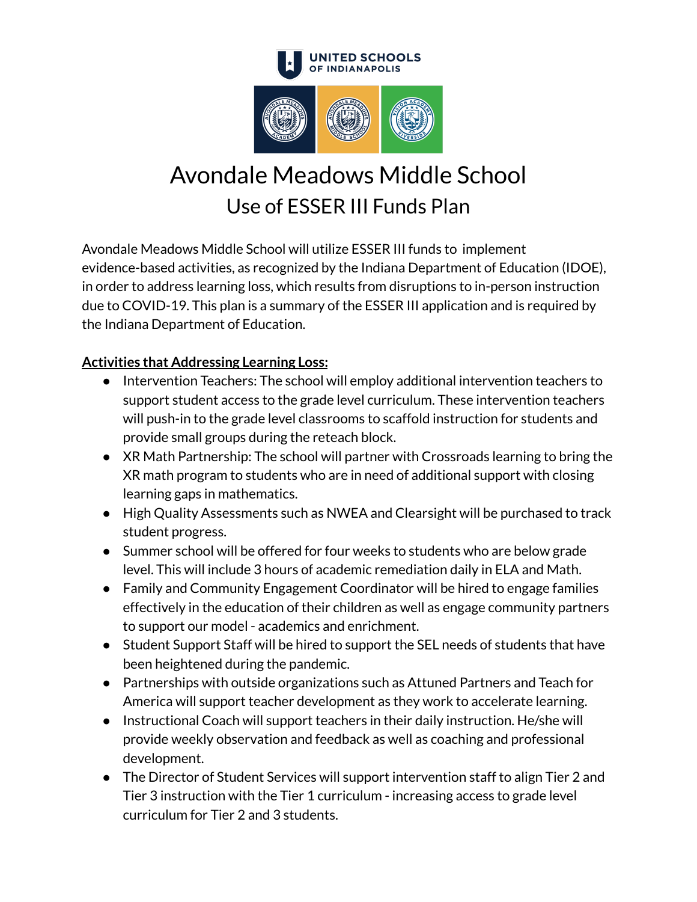

# Avondale Meadows Middle School Use of ESSER III Funds Plan

Avondale Meadows Middle School will utilize ESSER III funds to implement evidence-based activities, as recognized by the Indiana Department of Education (IDOE), in order to address learning loss, which results from disruptions to in-person instruction due to COVID-19. This plan is a summary of the ESSER III application and is required by the Indiana Department of Education.

# **Activities that Addressing Learning Loss:**

- Intervention Teachers: The school will employ additional intervention teachers to support student access to the grade level curriculum. These intervention teachers will push-in to the grade level classrooms to scaffold instruction for students and provide small groups during the reteach block.
- XR Math Partnership: The school will partner with Crossroads learning to bring the XR math program to students who are in need of additional support with closing learning gaps in mathematics.
- High Quality Assessments such as NWEA and Clearsight will be purchased to track student progress.
- Summer school will be offered for four weeks to students who are below grade level. This will include 3 hours of academic remediation daily in ELA and Math.
- Family and Community Engagement Coordinator will be hired to engage families effectively in the education of their children as well as engage community partners to support our model - academics and enrichment.
- Student Support Staff will be hired to support the SEL needs of students that have been heightened during the pandemic.
- Partnerships with outside organizations such as Attuned Partners and Teach for America will support teacher development as they work to accelerate learning.
- Instructional Coach will support teachers in their daily instruction. He/she will provide weekly observation and feedback as well as coaching and professional development.
- The Director of Student Services will support intervention staff to align Tier 2 and Tier 3 instruction with the Tier 1 curriculum - increasing access to grade level curriculum for Tier 2 and 3 students.